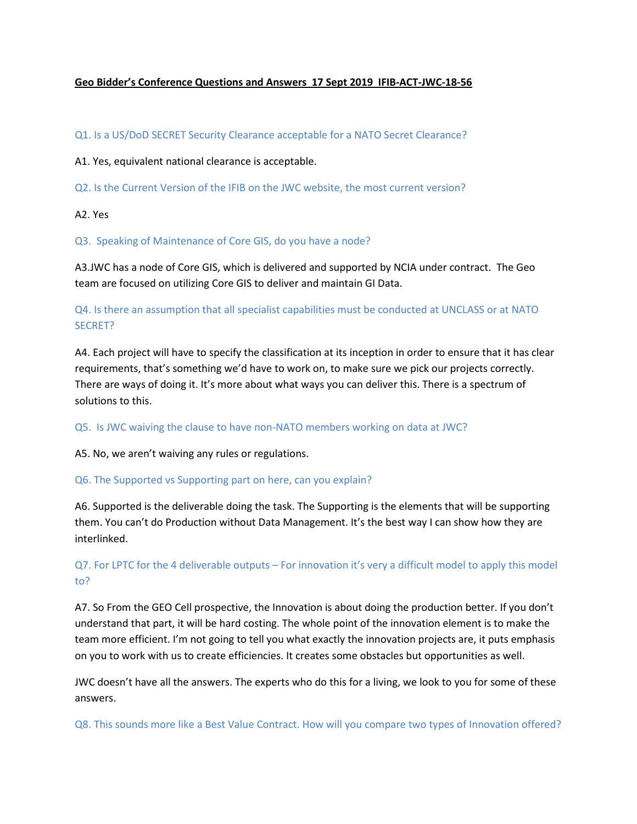### **Geo Bidder's Conference Questions and Answers 17 Sept 2019 IFIB-ACT-JWC-18-56**

#### Q1. Is a US/DoD SECRET Security Clearance acceptable for a NATO Secret Clearance?

#### A1. Yes, equivalent national clearance is acceptable.

Q2. Is the Current Version of the IFIB on the JWC website, the most current version?

A2. Yes

Q3. Speaking of Maintenance of Core GIS, do you have a node?

A3.JWC has a node of Core GIS, which is delivered and supported by NCIA under contract. The Geo team are focused on utilizing Core GIS to deliver and maintain GI Data.

# Q4. Is there an assumption that all specialist capabilities must be conducted at UNCLASS or at NATO SECRET?

A4. Each project will have to specify the classification at its inception in order to ensure that it has clear requirements, that's something we'd have to work on, to make sure we pick our projects correctly. There are ways of doing it. It's more about what ways you can deliver this. There is a spectrum of solutions to this.

#### Q5. Is JWC waiving the clause to have non-NATO members working on data at JWC?

A5. No, we aren't waiving any rules or regulations.

#### Q6. The Supported vs Supporting part on here, can you explain?

A6. Supported is the deliverable doing the task. The Supporting is the elements that will be supporting them. You can't do Production without Data Management. It's the best way I can show how they are interlinked.

# Q7. For LPTC for the 4 deliverable outputs – For innovation it's very a difficult model to apply this model to?

A7. So From the GEO Cell prospective, the Innovation is about doing the production better. If you don't understand that part, it will be hard costing. The whole point of the innovation element is to make the team more efficient. I'm not going to tell you what exactly the innovation projects are, it puts emphasis on you to work with us to create efficiencies. It creates some obstacles but opportunities as well.

JWC doesn't have all the answers. The experts who do this for a living, we look to you for some of these answers.

Q8. This sounds more like a Best Value Contract. How will you compare two types of Innovation offered?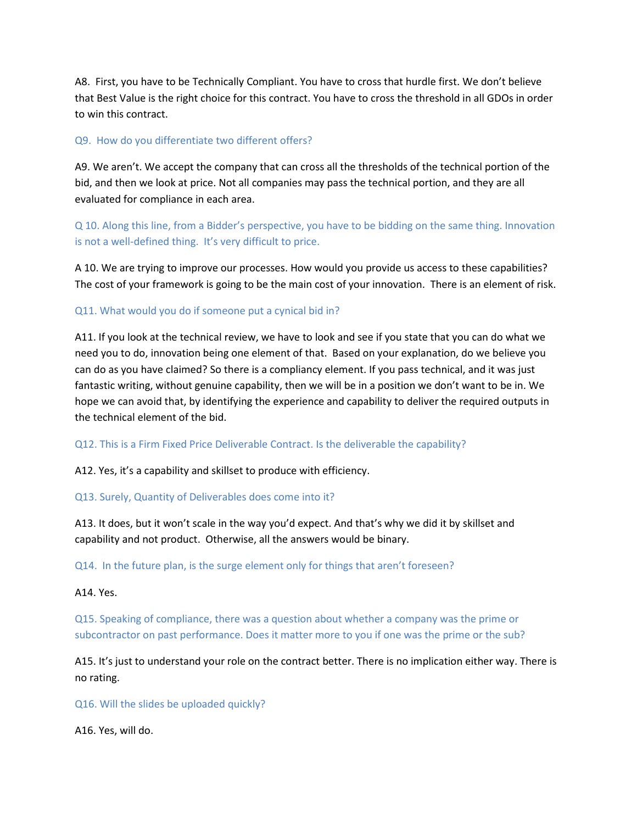A8. First, you have to be Technically Compliant. You have to cross that hurdle first. We don't believe that Best Value is the right choice for this contract. You have to cross the threshold in all GDOs in order to win this contract.

## Q9. How do you differentiate two different offers?

A9. We aren't. We accept the company that can cross all the thresholds of the technical portion of the bid, and then we look at price. Not all companies may pass the technical portion, and they are all evaluated for compliance in each area.

Q 10. Along this line, from a Bidder's perspective, you have to be bidding on the same thing. Innovation is not a well-defined thing. It's very difficult to price.

A 10. We are trying to improve our processes. How would you provide us access to these capabilities? The cost of your framework is going to be the main cost of your innovation. There is an element of risk.

#### Q11. What would you do if someone put a cynical bid in?

A11. If you look at the technical review, we have to look and see if you state that you can do what we need you to do, innovation being one element of that. Based on your explanation, do we believe you can do as you have claimed? So there is a compliancy element. If you pass technical, and it was just fantastic writing, without genuine capability, then we will be in a position we don't want to be in. We hope we can avoid that, by identifying the experience and capability to deliver the required outputs in the technical element of the bid.

#### Q12. This is a Firm Fixed Price Deliverable Contract. Is the deliverable the capability?

A12. Yes, it's a capability and skillset to produce with efficiency.

#### Q13. Surely, Quantity of Deliverables does come into it?

A13. It does, but it won't scale in the way you'd expect. And that's why we did it by skillset and capability and not product. Otherwise, all the answers would be binary.

Q14. In the future plan, is the surge element only for things that aren't foreseen?

#### A14. Yes.

Q15. Speaking of compliance, there was a question about whether a company was the prime or subcontractor on past performance. Does it matter more to you if one was the prime or the sub?

A15. It's just to understand your role on the contract better. There is no implication either way. There is no rating.

Q16. Will the slides be uploaded quickly?

A16. Yes, will do.